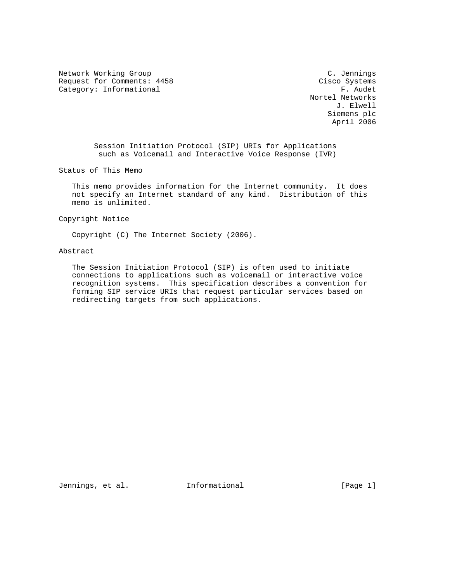Network Working Group C. Jennings Request for Comments: 4458 Cisco Systems<br>
Category: Informational F. Audet Category: Informational

 Nortel Networks J. Elwell Siemens plc April 2006

 Session Initiation Protocol (SIP) URIs for Applications such as Voicemail and Interactive Voice Response (IVR)

Status of This Memo

 This memo provides information for the Internet community. It does not specify an Internet standard of any kind. Distribution of this memo is unlimited.

Copyright Notice

Copyright (C) The Internet Society (2006).

Abstract

 The Session Initiation Protocol (SIP) is often used to initiate connections to applications such as voicemail or interactive voice recognition systems. This specification describes a convention for forming SIP service URIs that request particular services based on redirecting targets from such applications.

Jennings, et al. 1nformational 1999 [Page 1]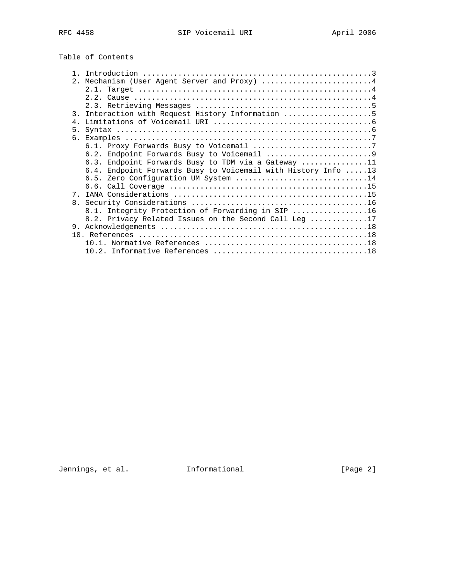Table of Contents

|             | 2. Mechanism (User Agent Server and Proxy) 4                  |
|-------------|---------------------------------------------------------------|
|             |                                                               |
|             |                                                               |
|             |                                                               |
|             | 3. Interaction with Request History Information 5             |
| 4.          |                                                               |
| 5.          |                                                               |
|             |                                                               |
|             |                                                               |
|             |                                                               |
|             | 6.3. Endpoint Forwards Busy to TDM via a Gateway 11           |
|             | 6.4. Endpoint Forwards Busy to Voicemail with History Info 13 |
|             | 6.5. Zero Configuration UM System 14                          |
|             |                                                               |
| $7^{\circ}$ |                                                               |
|             |                                                               |
|             | 8.1. Integrity Protection of Forwarding in SIP 16             |
|             | 8.2. Privacy Related Issues on the Second Call Leg 17         |
|             |                                                               |
|             |                                                               |
|             |                                                               |
|             |                                                               |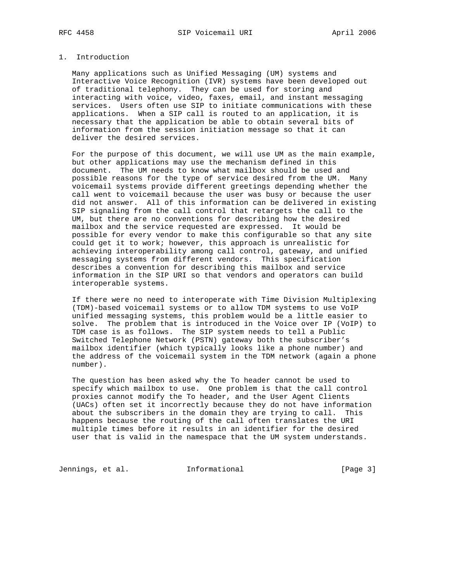# 1. Introduction

 Many applications such as Unified Messaging (UM) systems and Interactive Voice Recognition (IVR) systems have been developed out of traditional telephony. They can be used for storing and interacting with voice, video, faxes, email, and instant messaging services. Users often use SIP to initiate communications with these applications. When a SIP call is routed to an application, it is necessary that the application be able to obtain several bits of information from the session initiation message so that it can deliver the desired services.

 For the purpose of this document, we will use UM as the main example, but other applications may use the mechanism defined in this document. The UM needs to know what mailbox should be used and possible reasons for the type of service desired from the UM. Many voicemail systems provide different greetings depending whether the call went to voicemail because the user was busy or because the user did not answer. All of this information can be delivered in existing SIP signaling from the call control that retargets the call to the UM, but there are no conventions for describing how the desired mailbox and the service requested are expressed. It would be possible for every vendor to make this configurable so that any site could get it to work; however, this approach is unrealistic for achieving interoperability among call control, gateway, and unified messaging systems from different vendors. This specification describes a convention for describing this mailbox and service information in the SIP URI so that vendors and operators can build interoperable systems.

 If there were no need to interoperate with Time Division Multiplexing (TDM)-based voicemail systems or to allow TDM systems to use VoIP unified messaging systems, this problem would be a little easier to solve. The problem that is introduced in the Voice over IP (VoIP) to TDM case is as follows. The SIP system needs to tell a Public Switched Telephone Network (PSTN) gateway both the subscriber's mailbox identifier (which typically looks like a phone number) and the address of the voicemail system in the TDM network (again a phone number).

 The question has been asked why the To header cannot be used to specify which mailbox to use. One problem is that the call control proxies cannot modify the To header, and the User Agent Clients (UACs) often set it incorrectly because they do not have information about the subscribers in the domain they are trying to call. This happens because the routing of the call often translates the URI multiple times before it results in an identifier for the desired user that is valid in the namespace that the UM system understands.

Jennings, et al. 1nformational 1999 [Page 3]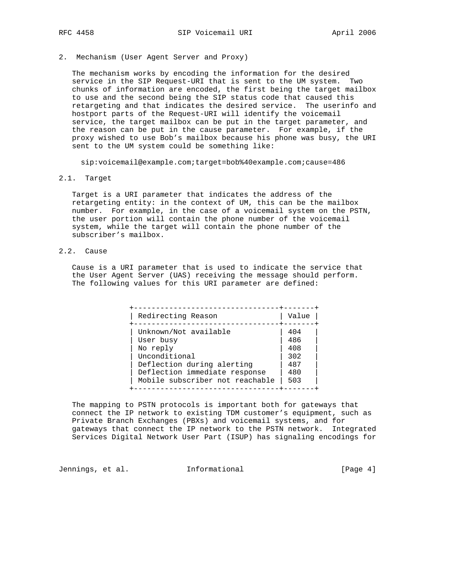2. Mechanism (User Agent Server and Proxy)

 The mechanism works by encoding the information for the desired service in the SIP Request-URI that is sent to the UM system. Two chunks of information are encoded, the first being the target mailbox to use and the second being the SIP status code that caused this retargeting and that indicates the desired service. The userinfo and hostport parts of the Request-URI will identify the voicemail service, the target mailbox can be put in the target parameter, and the reason can be put in the cause parameter. For example, if the proxy wished to use Bob's mailbox because his phone was busy, the URI sent to the UM system could be something like:

sip:voicemail@example.com;target=bob%40example.com;cause=486

2.1. Target

 Target is a URI parameter that indicates the address of the retargeting entity: in the context of UM, this can be the mailbox number. For example, in the case of a voicemail system on the PSTN, the user portion will contain the phone number of the voicemail system, while the target will contain the phone number of the subscriber's mailbox.

2.2. Cause

 Cause is a URI parameter that is used to indicate the service that the User Agent Server (UAS) receiving the message should perform. The following values for this URI parameter are defined:

| Redirecting Reason              | Value |
|---------------------------------|-------|
| Unknown/Not available           | 404   |
| User busy                       | 486   |
| No reply                        | 408   |
| Unconditional                   | 302   |
| Deflection during alerting      | 487   |
| Deflection immediate response   | 480   |
| Mobile subscriber not reachable | 503   |

 The mapping to PSTN protocols is important both for gateways that connect the IP network to existing TDM customer's equipment, such as Private Branch Exchanges (PBXs) and voicemail systems, and for gateways that connect the IP network to the PSTN network. Integrated Services Digital Network User Part (ISUP) has signaling encodings for

Jennings, et al. 1nformational 1999 [Page 4]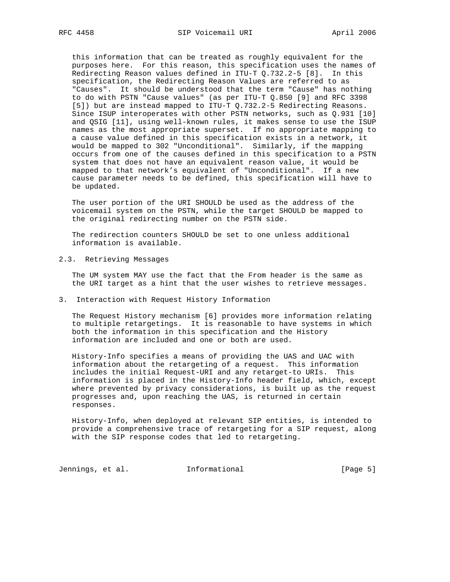this information that can be treated as roughly equivalent for the purposes here. For this reason, this specification uses the names of Redirecting Reason values defined in ITU-T Q.732.2-5 [8]. In this specification, the Redirecting Reason Values are referred to as "Causes". It should be understood that the term "Cause" has nothing to do with PSTN "Cause values" (as per ITU-T Q.850 [9] and RFC 3398 [5]) but are instead mapped to ITU-T Q.732.2-5 Redirecting Reasons. Since ISUP interoperates with other PSTN networks, such as Q.931 [10] and QSIG [11], using well-known rules, it makes sense to use the ISUP names as the most appropriate superset. If no appropriate mapping to a cause value defined in this specification exists in a network, it would be mapped to 302 "Unconditional". Similarly, if the mapping occurs from one of the causes defined in this specification to a PSTN system that does not have an equivalent reason value, it would be mapped to that network's equivalent of "Unconditional". If a new cause parameter needs to be defined, this specification will have to be updated.

 The user portion of the URI SHOULD be used as the address of the voicemail system on the PSTN, while the target SHOULD be mapped to the original redirecting number on the PSTN side.

 The redirection counters SHOULD be set to one unless additional information is available.

2.3. Retrieving Messages

 The UM system MAY use the fact that the From header is the same as the URI target as a hint that the user wishes to retrieve messages.

3. Interaction with Request History Information

 The Request History mechanism [6] provides more information relating to multiple retargetings. It is reasonable to have systems in which both the information in this specification and the History information are included and one or both are used.

 History-Info specifies a means of providing the UAS and UAC with information about the retargeting of a request. This information includes the initial Request-URI and any retarget-to URIs. This information is placed in the History-Info header field, which, except where prevented by privacy considerations, is built up as the request progresses and, upon reaching the UAS, is returned in certain responses.

 History-Info, when deployed at relevant SIP entities, is intended to provide a comprehensive trace of retargeting for a SIP request, along with the SIP response codes that led to retargeting.

Jennings, et al. 1nformational 1999 [Page 5]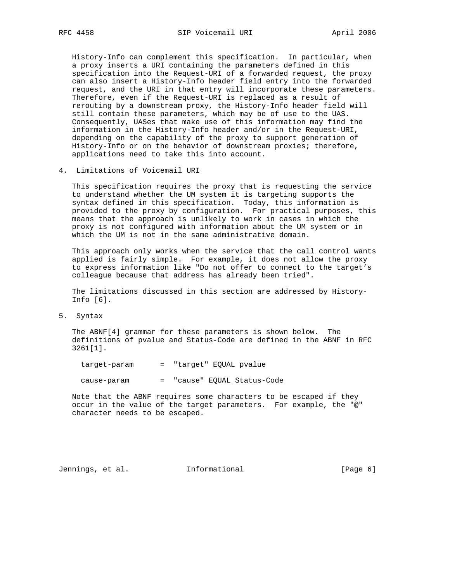History-Info can complement this specification. In particular, when a proxy inserts a URI containing the parameters defined in this specification into the Request-URI of a forwarded request, the proxy can also insert a History-Info header field entry into the forwarded request, and the URI in that entry will incorporate these parameters. Therefore, even if the Request-URI is replaced as a result of rerouting by a downstream proxy, the History-Info header field will still contain these parameters, which may be of use to the UAS. Consequently, UASes that make use of this information may find the information in the History-Info header and/or in the Request-URI, depending on the capability of the proxy to support generation of History-Info or on the behavior of downstream proxies; therefore, applications need to take this into account.

4. Limitations of Voicemail URI

 This specification requires the proxy that is requesting the service to understand whether the UM system it is targeting supports the syntax defined in this specification. Today, this information is provided to the proxy by configuration. For practical purposes, this means that the approach is unlikely to work in cases in which the proxy is not configured with information about the UM system or in which the UM is not in the same administrative domain.

 This approach only works when the service that the call control wants applied is fairly simple. For example, it does not allow the proxy to express information like "Do not offer to connect to the target's colleague because that address has already been tried".

 The limitations discussed in this section are addressed by History- Info [6].

5. Syntax

 The ABNF[4] grammar for these parameters is shown below. The definitions of pvalue and Status-Code are defined in the ABNF in RFC 3261[1].

target-param = "target" EQUAL pvalue

cause-param = "cause" EQUAL Status-Code

 Note that the ABNF requires some characters to be escaped if they occur in the value of the target parameters. For example, the "@" character needs to be escaped.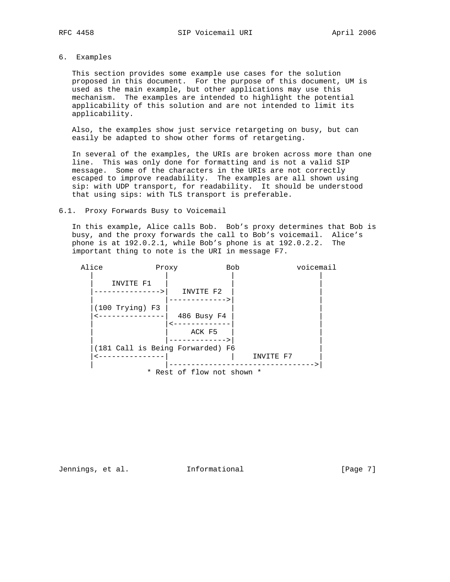# 6. Examples

 This section provides some example use cases for the solution proposed in this document. For the purpose of this document, UM is used as the main example, but other applications may use this mechanism. The examples are intended to highlight the potential applicability of this solution and are not intended to limit its applicability.

 Also, the examples show just service retargeting on busy, but can easily be adapted to show other forms of retargeting.

 In several of the examples, the URIs are broken across more than one line. This was only done for formatting and is not a valid SIP message. Some of the characters in the URIs are not correctly escaped to improve readability. The examples are all shown using sip: with UDP transport, for readability. It should be understood that using sips: with TLS transport is preferable.

#### 6.1. Proxy Forwards Busy to Voicemail

 In this example, Alice calls Bob. Bob's proxy determines that Bob is busy, and the proxy forwards the call to Bob's voicemail. Alice's phone is at 192.0.2.1, while Bob's phone is at 192.0.2.2. The important thing to note is the URI in message F7.



Jennings, et al. 1nformational 1999 [Page 7]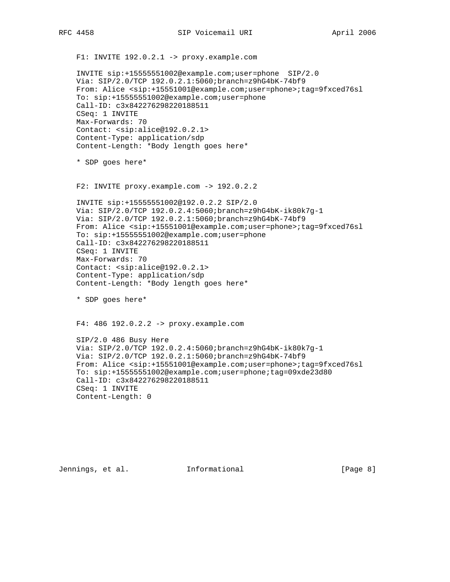F1: INVITE 192.0.2.1 -> proxy.example.com INVITE sip:+15555551002@example.com;user=phone SIP/2.0 Via: SIP/2.0/TCP 192.0.2.1:5060;branch=z9hG4bK-74bf9 From: Alice <sip:+15551001@example.com;user=phone>;tag=9fxced76sl To: sip:+15555551002@example.com;user=phone Call-ID: c3x842276298220188511 CSeq: 1 INVITE Max-Forwards: 70 Contact: <sip:alice@192.0.2.1> Content-Type: application/sdp Content-Length: \*Body length goes here\* \* SDP goes here\* F2: INVITE proxy.example.com -> 192.0.2.2 INVITE sip:+15555551002@192.0.2.2 SIP/2.0 Via: SIP/2.0/TCP 192.0.2.4:5060;branch=z9hG4bK-ik80k7g-1 Via: SIP/2.0/TCP 192.0.2.1:5060;branch=z9hG4bK-74bf9 From: Alice <sip:+15551001@example.com;user=phone>;tag=9fxced76sl To: sip:+15555551002@example.com;user=phone Call-ID: c3x842276298220188511 CSeq: 1 INVITE Max-Forwards: 70 Contact: <sip:alice@192.0.2.1> Content-Type: application/sdp Content-Length: \*Body length goes here\* \* SDP goes here\* F4: 486 192.0.2.2 -> proxy.example.com SIP/2.0 486 Busy Here Via: SIP/2.0/TCP 192.0.2.4:5060;branch=z9hG4bK-ik80k7g-1 Via: SIP/2.0/TCP 192.0.2.1:5060;branch=z9hG4bK-74bf9 From: Alice <sip:+15551001@example.com;user=phone>;tag=9fxced76sl To: sip:+15555551002@example.com;user=phone;tag=09xde23d80 Call-ID: c3x842276298220188511 CSeq: 1 INVITE Content-Length: 0

Jennings, et al. 1nformational 1999 [Page 8]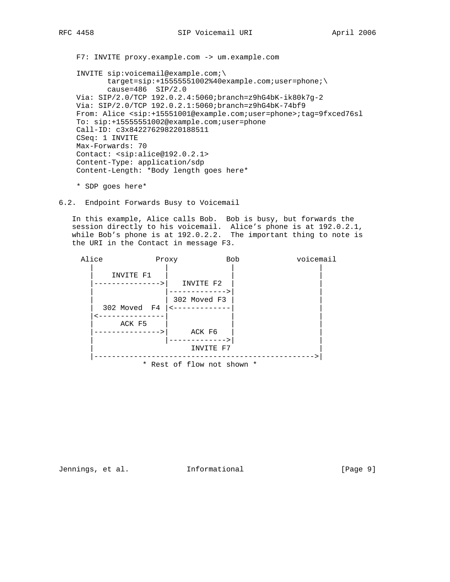F7: INVITE proxy.example.com -> um.example.com

 INVITE sip:voicemail@example.com;\ target=sip:+15555551002%40example.com;user=phone;\ cause=486 SIP/2.0 Via: SIP/2.0/TCP 192.0.2.4:5060;branch=z9hG4bK-ik80k7g-2 Via: SIP/2.0/TCP 192.0.2.1:5060;branch=z9hG4bK-74bf9 From: Alice <sip:+15551001@example.com;user=phone>;tag=9fxced76sl To: sip:+15555551002@example.com;user=phone Call-ID: c3x842276298220188511 CSeq: 1 INVITE Max-Forwards: 70 Contact: <sip:alice@192.0.2.1> Content-Type: application/sdp Content-Length: \*Body length goes here\*

\* SDP goes here\*

6.2. Endpoint Forwards Busy to Voicemail

 In this example, Alice calls Bob. Bob is busy, but forwards the session directly to his voicemail. Alice's phone is at 192.0.2.1, while Bob's phone is at 192.0.2.2. The important thing to note is the URI in the Contact in message F3.



Jennings, et al. 1nformational 1999 [Page 9]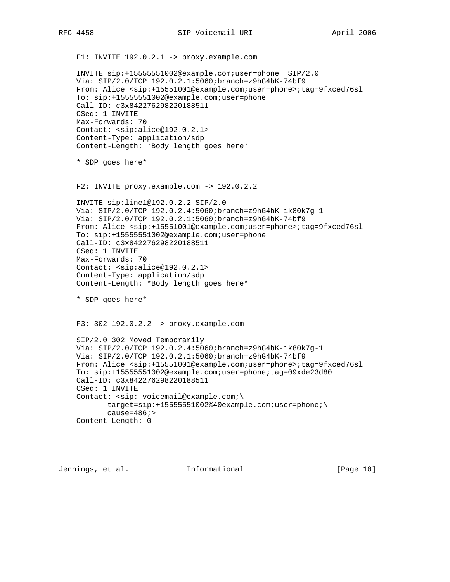F1: INVITE 192.0.2.1 -> proxy.example.com INVITE sip:+15555551002@example.com;user=phone SIP/2.0 Via: SIP/2.0/TCP 192.0.2.1:5060;branch=z9hG4bK-74bf9 From: Alice <sip:+15551001@example.com;user=phone>;tag=9fxced76sl To: sip:+15555551002@example.com;user=phone Call-ID: c3x842276298220188511 CSeq: 1 INVITE Max-Forwards: 70 Contact: <sip:alice@192.0.2.1> Content-Type: application/sdp Content-Length: \*Body length goes here\* \* SDP goes here\* F2: INVITE proxy.example.com -> 192.0.2.2 INVITE sip:line1@192.0.2.2 SIP/2.0 Via: SIP/2.0/TCP 192.0.2.4:5060;branch=z9hG4bK-ik80k7g-1 Via: SIP/2.0/TCP 192.0.2.1:5060;branch=z9hG4bK-74bf9 From: Alice <sip:+15551001@example.com;user=phone>;tag=9fxced76sl To: sip:+15555551002@example.com;user=phone Call-ID: c3x842276298220188511 CSeq: 1 INVITE Max-Forwards: 70 Contact: <sip:alice@192.0.2.1> Content-Type: application/sdp Content-Length: \*Body length goes here\* \* SDP goes here\* F3: 302 192.0.2.2 -> proxy.example.com SIP/2.0 302 Moved Temporarily Via: SIP/2.0/TCP 192.0.2.4:5060;branch=z9hG4bK-ik80k7g-1 Via: SIP/2.0/TCP 192.0.2.1:5060;branch=z9hG4bK-74bf9 From: Alice <sip:+15551001@example.com;user=phone>;tag=9fxced76sl To: sip:+15555551002@example.com;user=phone;tag=09xde23d80 Call-ID: c3x842276298220188511 CSeq: 1 INVITE Contact: <sip: voicemail@example.com;\  $target=sip: +1555551002%40example.com;user=phone;\n$  cause=486;> Content-Length: 0

Jennings, et al. Informational [Page 10]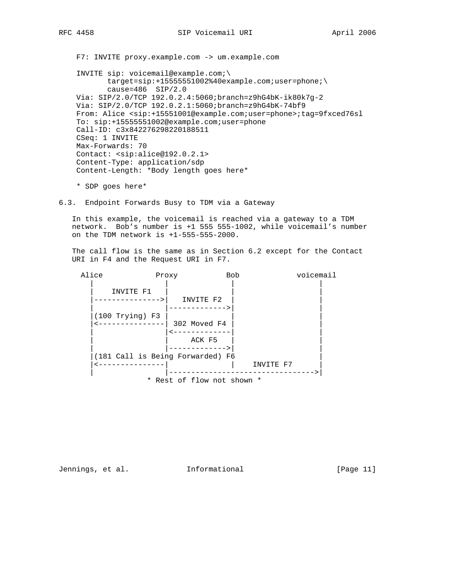F7: INVITE proxy.example.com -> um.example.com

 INVITE sip: voicemail@example.com;\ target=sip:+15555551002%40example.com;user=phone;\ cause=486 SIP/2.0 Via: SIP/2.0/TCP 192.0.2.4:5060;branch=z9hG4bK-ik80k7g-2 Via: SIP/2.0/TCP 192.0.2.1:5060;branch=z9hG4bK-74bf9 From: Alice <sip:+15551001@example.com;user=phone>;tag=9fxced76sl To: sip:+15555551002@example.com;user=phone Call-ID: c3x842276298220188511 CSeq: 1 INVITE Max-Forwards: 70 Contact: <sip:alice@192.0.2.1> Content-Type: application/sdp Content-Length: \*Body length goes here\*

\* SDP goes here\*

6.3. Endpoint Forwards Busy to TDM via a Gateway

 In this example, the voicemail is reached via a gateway to a TDM network. Bob's number is +1 555 555-1002, while voicemail's number on the TDM network is +1-555-555-2000.

 The call flow is the same as in Section 6.2 except for the Contact URI in F4 and the Request URI in F7.



Jennings, et al. 1nformational 1999 [Page 11]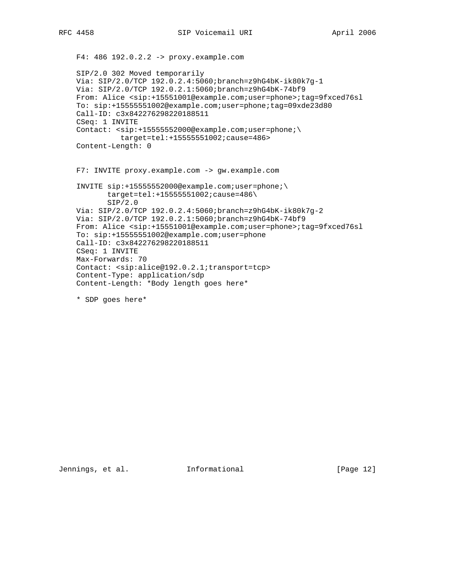```
 F4: 486 192.0.2.2 -> proxy.example.com
 SIP/2.0 302 Moved temporarily
 Via: SIP/2.0/TCP 192.0.2.4:5060;branch=z9hG4bK-ik80k7g-1
 Via: SIP/2.0/TCP 192.0.2.1:5060;branch=z9hG4bK-74bf9
 From: Alice <sip:+15551001@example.com;user=phone>;tag=9fxced76sl
 To: sip:+15555551002@example.com;user=phone;tag=09xde23d80
 Call-ID: c3x842276298220188511
 CSeq: 1 INVITE
Contact: <sip:+15555552000@example.com;user=phone;\
           target=tel:+15555551002;cause=486>
 Content-Length: 0
 F7: INVITE proxy.example.com -> gw.example.com
 INVITE sip:+15555552000@example.com;user=phone;\
        target=tel:+15555551002;cause=486\
       SIP/2.0 Via: SIP/2.0/TCP 192.0.2.4:5060;branch=z9hG4bK-ik80k7g-2
 Via: SIP/2.0/TCP 192.0.2.1:5060;branch=z9hG4bK-74bf9
 From: Alice <sip:+15551001@example.com;user=phone>;tag=9fxced76sl
 To: sip:+15555551002@example.com;user=phone
 Call-ID: c3x842276298220188511
 CSeq: 1 INVITE
 Max-Forwards: 70
 Contact: <sip:alice@192.0.2.1;transport=tcp>
 Content-Type: application/sdp
 Content-Length: *Body length goes here*
```
\* SDP goes here\*

Jennings, et al. Informational [Page 12]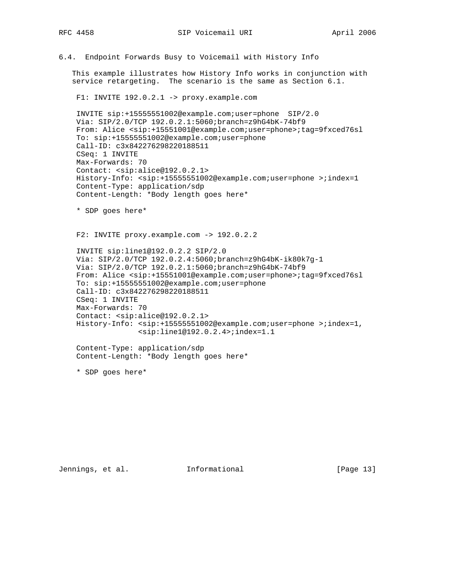6.4. Endpoint Forwards Busy to Voicemail with History Info

 This example illustrates how History Info works in conjunction with service retargeting. The scenario is the same as Section 6.1.

F1: INVITE 192.0.2.1 -> proxy.example.com

 INVITE sip:+15555551002@example.com;user=phone SIP/2.0 Via: SIP/2.0/TCP 192.0.2.1:5060;branch=z9hG4bK-74bf9 From: Alice <sip:+15551001@example.com;user=phone>;tag=9fxced76sl To: sip:+15555551002@example.com;user=phone Call-ID: c3x842276298220188511 CSeq: 1 INVITE Max-Forwards: 70 Contact: <sip:alice@192.0.2.1> History-Info: <sip:+15555551002@example.com;user=phone >;index=1 Content-Type: application/sdp Content-Length: \*Body length goes here\*

\* SDP goes here\*

F2: INVITE proxy.example.com -> 192.0.2.2

 INVITE sip:line1@192.0.2.2 SIP/2.0 Via: SIP/2.0/TCP 192.0.2.4:5060;branch=z9hG4bK-ik80k7g-1 Via: SIP/2.0/TCP 192.0.2.1:5060;branch=z9hG4bK-74bf9 From: Alice <sip:+15551001@example.com;user=phone>;tag=9fxced76sl To: sip:+15555551002@example.com;user=phone Call-ID: c3x842276298220188511 CSeq: 1 INVITE Max-Forwards: 70 Contact: <sip:alice@192.0.2.1> History-Info: <sip:+15555551002@example.com;user=phone >;index=1, <sip:line1@192.0.2.4>;index=1.1

 Content-Type: application/sdp Content-Length: \*Body length goes here\*

\* SDP goes here\*

Jennings, et al. 1nformational 1999 [Page 13]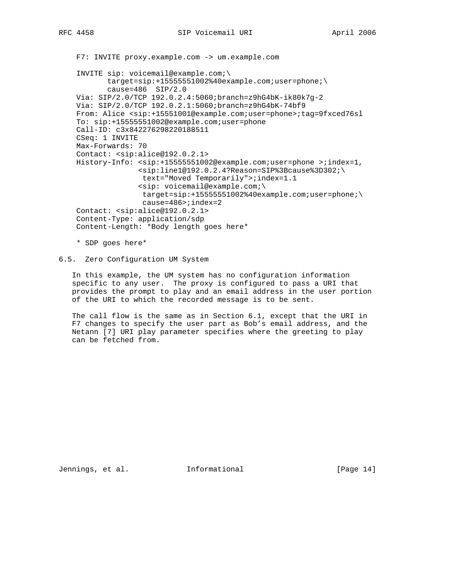```
 F7: INVITE proxy.example.com -> um.example.com
```
 INVITE sip: voicemail@example.com;\ target=sip:+15555551002%40example.com;user=phone;\ cause=486 SIP/2.0 Via: SIP/2.0/TCP 192.0.2.4:5060;branch=z9hG4bK-ik80k7g-2 Via: SIP/2.0/TCP 192.0.2.1:5060;branch=z9hG4bK-74bf9 From: Alice <sip:+15551001@example.com;user=phone>;tag=9fxced76sl To: sip:+15555551002@example.com;user=phone Call-ID: c3x842276298220188511 CSeq: 1 INVITE Max-Forwards: 70 Contact: <sip:alice@192.0.2.1> History-Info: <sip:+15555551002@example.com;user=phone >;index=1, <sip:line1@192.0.2.4?Reason=SIP%3Bcause%3D302;\ text="Moved Temporarily">;index=1.1 <sip: voicemail@example.com;\ target=sip:+15555551002%40example.com;user=phone;\ cause=486>;index=2 Contact: <sip:alice@192.0.2.1> Content-Type: application/sdp Content-Length: \*Body length goes here\*

\* SDP goes here\*

### 6.5. Zero Configuration UM System

 In this example, the UM system has no configuration information specific to any user. The proxy is configured to pass a URI that provides the prompt to play and an email address in the user portion of the URI to which the recorded message is to be sent.

 The call flow is the same as in Section 6.1, except that the URI in F7 changes to specify the user part as Bob's email address, and the Netann [7] URI play parameter specifies where the greeting to play can be fetched from.

Jennings, et al. 1nformational 1999 [Page 14]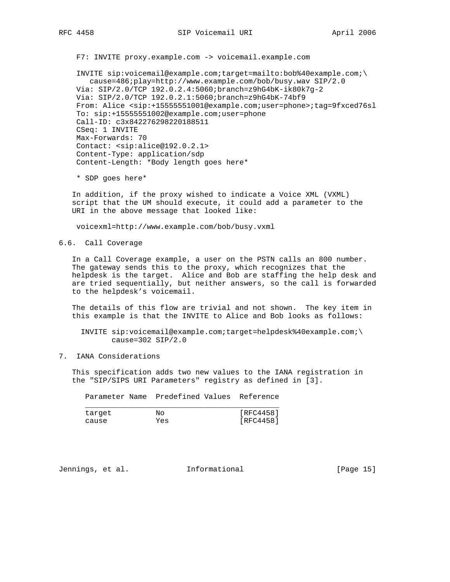F7: INVITE proxy.example.com -> voicemail.example.com

 INVITE sip:voicemail@example.com;target=mailto:bob%40example.com;\ cause=486;play=http://www.example.com/bob/busy.wav SIP/2.0 Via: SIP/2.0/TCP 192.0.2.4:5060;branch=z9hG4bK-ik80k7g-2 Via: SIP/2.0/TCP 192.0.2.1:5060;branch=z9hG4bK-74bf9 From: Alice <sip:+15555551001@example.com;user=phone>;tag=9fxced76sl To: sip:+15555551002@example.com;user=phone Call-ID: c3x842276298220188511 CSeq: 1 INVITE Max-Forwards: 70 Contact: <sip:alice@192.0.2.1> Content-Type: application/sdp Content-Length: \*Body length goes here\*

\* SDP goes here\*

 In addition, if the proxy wished to indicate a Voice XML (VXML) script that the UM should execute, it could add a parameter to the URI in the above message that looked like:

voicexml=http://www.example.com/bob/busy.vxml

6.6. Call Coverage

 In a Call Coverage example, a user on the PSTN calls an 800 number. The gateway sends this to the proxy, which recognizes that the helpdesk is the target. Alice and Bob are staffing the help desk and are tried sequentially, but neither answers, so the call is forwarded to the helpdesk's voicemail.

 The details of this flow are trivial and not shown. The key item in this example is that the INVITE to Alice and Bob looks as follows:

 INVITE sip:voicemail@example.com;target=helpdesk%40example.com;\ cause=302 SIP/2.0

7. IANA Considerations

 This specification adds two new values to the IANA registration in the "SIP/SIPS URI Parameters" registry as defined in [3].

|        | Parameter Name Predefined Values Reference |           |
|--------|--------------------------------------------|-----------|
| target | Nο                                         | [RFC4458] |
| cause  | Yes                                        | [RFC4458] |

Jennings, et al. 1nformational 1999 [Page 15]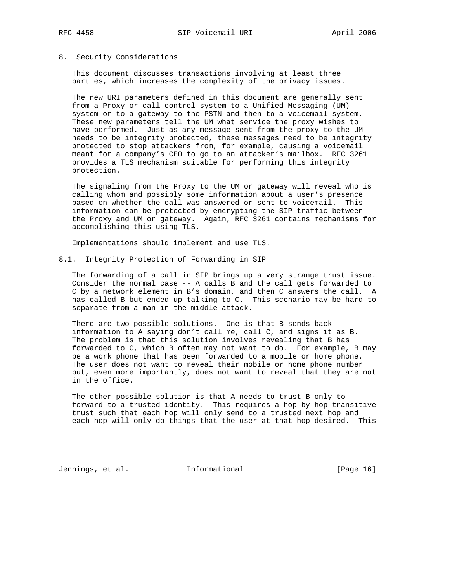#### 8. Security Considerations

 This document discusses transactions involving at least three parties, which increases the complexity of the privacy issues.

 The new URI parameters defined in this document are generally sent from a Proxy or call control system to a Unified Messaging (UM) system or to a gateway to the PSTN and then to a voicemail system. These new parameters tell the UM what service the proxy wishes to have performed. Just as any message sent from the proxy to the UM needs to be integrity protected, these messages need to be integrity protected to stop attackers from, for example, causing a voicemail meant for a company's CEO to go to an attacker's mailbox. RFC 3261 provides a TLS mechanism suitable for performing this integrity protection.

 The signaling from the Proxy to the UM or gateway will reveal who is calling whom and possibly some information about a user's presence based on whether the call was answered or sent to voicemail. This information can be protected by encrypting the SIP traffic between the Proxy and UM or gateway. Again, RFC 3261 contains mechanisms for accomplishing this using TLS.

Implementations should implement and use TLS.

### 8.1. Integrity Protection of Forwarding in SIP

 The forwarding of a call in SIP brings up a very strange trust issue. Consider the normal case -- A calls B and the call gets forwarded to C by a network element in B's domain, and then C answers the call. A has called B but ended up talking to C. This scenario may be hard to separate from a man-in-the-middle attack.

 There are two possible solutions. One is that B sends back information to A saying don't call me, call C, and signs it as B. The problem is that this solution involves revealing that B has forwarded to C, which B often may not want to do. For example, B may be a work phone that has been forwarded to a mobile or home phone. The user does not want to reveal their mobile or home phone number but, even more importantly, does not want to reveal that they are not in the office.

 The other possible solution is that A needs to trust B only to forward to a trusted identity. This requires a hop-by-hop transitive trust such that each hop will only send to a trusted next hop and each hop will only do things that the user at that hop desired. This

Jennings, et al. 1nformational 1999 [Page 16]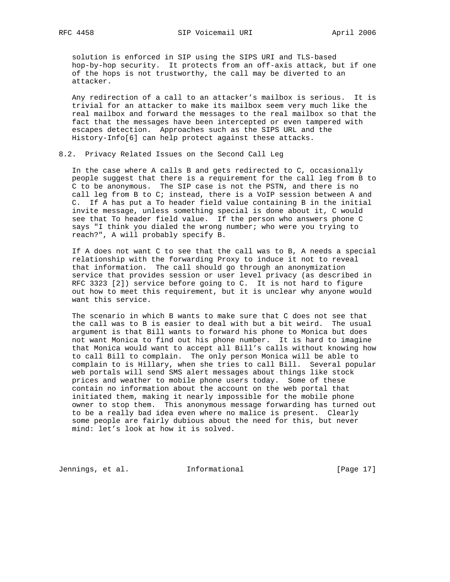solution is enforced in SIP using the SIPS URI and TLS-based hop-by-hop security. It protects from an off-axis attack, but if one of the hops is not trustworthy, the call may be diverted to an attacker.

 Any redirection of a call to an attacker's mailbox is serious. It is trivial for an attacker to make its mailbox seem very much like the real mailbox and forward the messages to the real mailbox so that the fact that the messages have been intercepted or even tampered with escapes detection. Approaches such as the SIPS URL and the History-Info[6] can help protect against these attacks.

## 8.2. Privacy Related Issues on the Second Call Leg

 In the case where A calls B and gets redirected to C, occasionally people suggest that there is a requirement for the call leg from B to C to be anonymous. The SIP case is not the PSTN, and there is no call leg from B to C; instead, there is a VoIP session between A and C. If A has put a To header field value containing B in the initial invite message, unless something special is done about it, C would see that To header field value. If the person who answers phone C says "I think you dialed the wrong number; who were you trying to reach?", A will probably specify B.

 If A does not want C to see that the call was to B, A needs a special relationship with the forwarding Proxy to induce it not to reveal that information. The call should go through an anonymization service that provides session or user level privacy (as described in RFC 3323 [2]) service before going to C. It is not hard to figure out how to meet this requirement, but it is unclear why anyone would want this service.

 The scenario in which B wants to make sure that C does not see that the call was to B is easier to deal with but a bit weird. The usual argument is that Bill wants to forward his phone to Monica but does not want Monica to find out his phone number. It is hard to imagine that Monica would want to accept all Bill's calls without knowing how to call Bill to complain. The only person Monica will be able to complain to is Hillary, when she tries to call Bill. Several popular web portals will send SMS alert messages about things like stock prices and weather to mobile phone users today. Some of these contain no information about the account on the web portal that initiated them, making it nearly impossible for the mobile phone owner to stop them. This anonymous message forwarding has turned out to be a really bad idea even where no malice is present. Clearly some people are fairly dubious about the need for this, but never mind: let's look at how it is solved.

Jennings, et al. 1nformational 1999 [Page 17]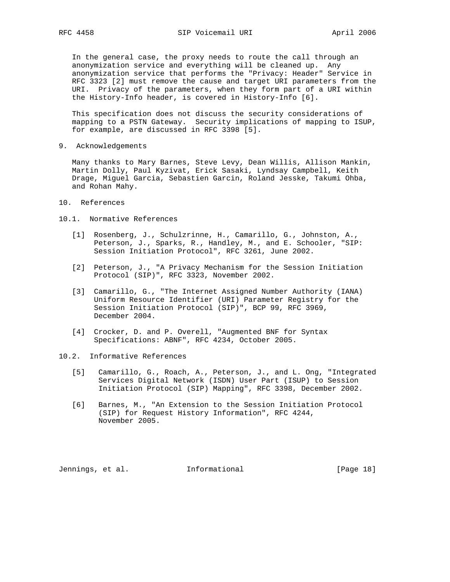In the general case, the proxy needs to route the call through an anonymization service and everything will be cleaned up. Any anonymization service that performs the "Privacy: Header" Service in RFC 3323 [2] must remove the cause and target URI parameters from the URI. Privacy of the parameters, when they form part of a URI within the History-Info header, is covered in History-Info [6].

 This specification does not discuss the security considerations of mapping to a PSTN Gateway. Security implications of mapping to ISUP, for example, are discussed in RFC 3398 [5].

9. Acknowledgements

 Many thanks to Mary Barnes, Steve Levy, Dean Willis, Allison Mankin, Martin Dolly, Paul Kyzivat, Erick Sasaki, Lyndsay Campbell, Keith Drage, Miguel Garcia, Sebastien Garcin, Roland Jesske, Takumi Ohba, and Rohan Mahy.

10. References

10.1. Normative References

- [1] Rosenberg, J., Schulzrinne, H., Camarillo, G., Johnston, A., Peterson, J., Sparks, R., Handley, M., and E. Schooler, "SIP: Session Initiation Protocol", RFC 3261, June 2002.
- [2] Peterson, J., "A Privacy Mechanism for the Session Initiation Protocol (SIP)", RFC 3323, November 2002.
- [3] Camarillo, G., "The Internet Assigned Number Authority (IANA) Uniform Resource Identifier (URI) Parameter Registry for the Session Initiation Protocol (SIP)", BCP 99, RFC 3969, December 2004.
- [4] Crocker, D. and P. Overell, "Augmented BNF for Syntax Specifications: ABNF", RFC 4234, October 2005.
- 10.2. Informative References
	- [5] Camarillo, G., Roach, A., Peterson, J., and L. Ong, "Integrated Services Digital Network (ISDN) User Part (ISUP) to Session Initiation Protocol (SIP) Mapping", RFC 3398, December 2002.
	- [6] Barnes, M., "An Extension to the Session Initiation Protocol (SIP) for Request History Information", RFC 4244, November 2005.

Jennings, et al. 1nformational 1999 [Page 18]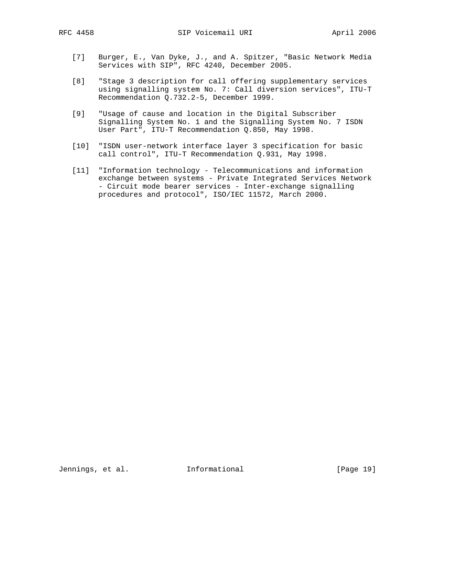- [7] Burger, E., Van Dyke, J., and A. Spitzer, "Basic Network Media Services with SIP", RFC 4240, December 2005.
- [8] "Stage 3 description for call offering supplementary services using signalling system No. 7: Call diversion services", ITU-T Recommendation Q.732.2-5, December 1999.
- [9] "Usage of cause and location in the Digital Subscriber Signalling System No. 1 and the Signalling System No. 7 ISDN User Part", ITU-T Recommendation Q.850, May 1998.
- [10] "ISDN user-network interface layer 3 specification for basic call control", ITU-T Recommendation Q.931, May 1998.
- [11] "Information technology Telecommunications and information exchange between systems - Private Integrated Services Network - Circuit mode bearer services - Inter-exchange signalling procedures and protocol", ISO/IEC 11572, March 2000.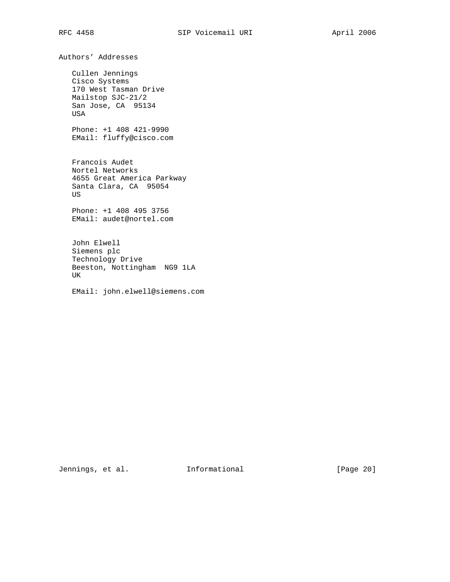Authors' Addresses

 Cullen Jennings Cisco Systems 170 West Tasman Drive Mailstop SJC-21/2 San Jose, CA 95134 USA

 Phone: +1 408 421-9990 EMail: fluffy@cisco.com

 Francois Audet Nortel Networks 4655 Great America Parkway Santa Clara, CA 95054 US

 Phone: +1 408 495 3756 EMail: audet@nortel.com

 John Elwell Siemens plc Technology Drive Beeston, Nottingham NG9 1LA UK

EMail: john.elwell@siemens.com

Jennings, et al. 1nformational 1999 [Page 20]